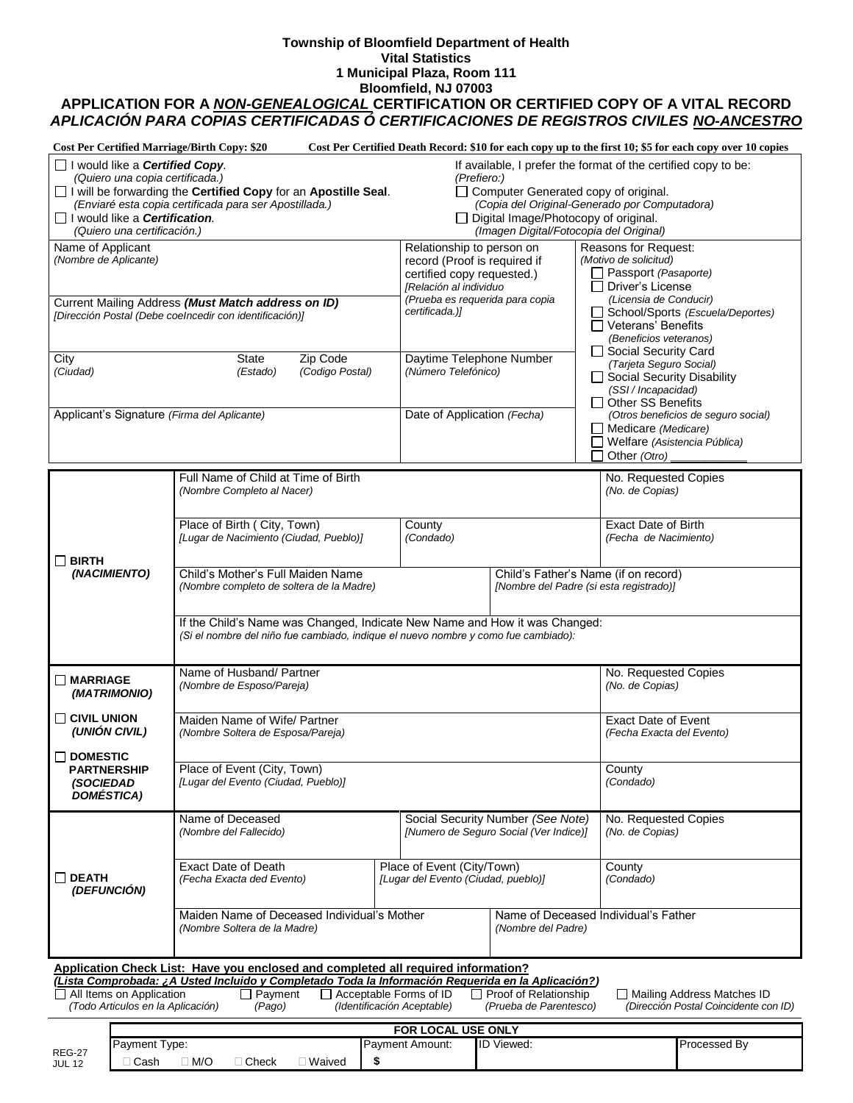#### **Township of Bloomfield Department of Health Vital Statistics 1 Municipal Plaza, Room 111 Bloomfield, NJ 07003**

# **APPLICATION FOR A** *NON-GENEALOGICAL* **CERTIFICATION OR CERTIFIED COPY OF A VITAL RECORD** *APLICACIÓN PARA COPIAS CERTIFICADAS Ó CERTIFICACIONES DE REGISTROS CIVILES NO-ANCESTRO*

| <b>Cost Per Certified Marriage/Birth Copy: \$20</b>                                                                                                                                                                                                                                                                                                                                                                                                                                         |                                                                                                                                                                  |                                                                                                                                                                        |                                                                                                                                                                                                                                                             | Cost Per Certified Death Record: \$10 for each copy up to the first 10; \$5 for each copy over 10 copies                                                                                                                                          |  |  |  |  |
|---------------------------------------------------------------------------------------------------------------------------------------------------------------------------------------------------------------------------------------------------------------------------------------------------------------------------------------------------------------------------------------------------------------------------------------------------------------------------------------------|------------------------------------------------------------------------------------------------------------------------------------------------------------------|------------------------------------------------------------------------------------------------------------------------------------------------------------------------|-------------------------------------------------------------------------------------------------------------------------------------------------------------------------------------------------------------------------------------------------------------|---------------------------------------------------------------------------------------------------------------------------------------------------------------------------------------------------------------------------------------------------|--|--|--|--|
| I would like a <b>Certified Copy</b> .<br>(Quiero una copia certificada.)<br>I would like a <b>Certification</b> .<br>(Quiero una certificación.)                                                                                                                                                                                                                                                                                                                                           | I will be forwarding the Certified Copy for an Apostille Seal.<br>(Enviaré esta copia certificada para ser Apostillada.)                                         |                                                                                                                                                                        | If available, I prefer the format of the certified copy to be:<br>(Prefiero:)<br>Computer Generated copy of original.<br>(Copia del Original-Generado por Computadora)<br>□ Digital Image/Photocopy of original.<br>(Imagen Digital/Fotocopia del Original) |                                                                                                                                                                                                                                                   |  |  |  |  |
| Name of Applicant<br>(Nombre de Aplicante)                                                                                                                                                                                                                                                                                                                                                                                                                                                  | Current Mailing Address (Must Match address on ID)                                                                                                               | Relationship to person on<br>record (Proof is required if<br>certified copy requested.)<br>IRelación al individuo<br>(Prueba es requerida para copia<br>certificada.)] |                                                                                                                                                                                                                                                             | Reasons for Request:<br>(Motivo de solicitud)<br>□ Passport (Pasaporte)<br>$\Box$ Driver's License<br>(Licensia de Conducir)<br>School/Sports (Escuela/Deportes)<br>$\Box$ Veterans' Benefits<br>(Beneficios veteranos)<br>□ Social Security Card |  |  |  |  |
| City                                                                                                                                                                                                                                                                                                                                                                                                                                                                                        | [Dirección Postal (Debe coelncedir con identificación)]<br>Zip Code<br>State                                                                                     | Daytime Telephone Number                                                                                                                                               |                                                                                                                                                                                                                                                             |                                                                                                                                                                                                                                                   |  |  |  |  |
| (Ciudad)                                                                                                                                                                                                                                                                                                                                                                                                                                                                                    | (Codigo Postal)<br>(Estado)                                                                                                                                      | (Número Telefónico)                                                                                                                                                    |                                                                                                                                                                                                                                                             | (Tarjeta Seguro Social)<br>Social Security Disability<br>(SSI / Incapacidad)<br>□ Other SS Benefits                                                                                                                                               |  |  |  |  |
| Applicant's Signature (Firma del Aplicante)                                                                                                                                                                                                                                                                                                                                                                                                                                                 |                                                                                                                                                                  | Date of Application (Fecha)                                                                                                                                            |                                                                                                                                                                                                                                                             | (Otros beneficios de seguro social)<br>$\Box$ Medicare (Medicare)<br>Welfare (Asistencia Pública)<br>Other (Otro)                                                                                                                                 |  |  |  |  |
|                                                                                                                                                                                                                                                                                                                                                                                                                                                                                             | Full Name of Child at Time of Birth<br>(Nombre Completo al Nacer)                                                                                                |                                                                                                                                                                        |                                                                                                                                                                                                                                                             | No. Requested Copies<br>(No. de Copias)                                                                                                                                                                                                           |  |  |  |  |
| $\Box$ BIRTH                                                                                                                                                                                                                                                                                                                                                                                                                                                                                | Place of Birth (City, Town)<br>[Lugar de Nacimiento (Ciudad, Pueblo)]                                                                                            | County<br>(Condado)                                                                                                                                                    |                                                                                                                                                                                                                                                             | <b>Exact Date of Birth</b><br>(Fecha de Nacimiento)                                                                                                                                                                                               |  |  |  |  |
| (NACIMIENTO)                                                                                                                                                                                                                                                                                                                                                                                                                                                                                | Child's Mother's Full Maiden Name<br>(Nombre completo de soltera de la Madre)                                                                                    |                                                                                                                                                                        | [Nombre del Padre (si esta registrado)]                                                                                                                                                                                                                     | Child's Father's Name (if on record)                                                                                                                                                                                                              |  |  |  |  |
|                                                                                                                                                                                                                                                                                                                                                                                                                                                                                             | If the Child's Name was Changed, Indicate New Name and How it was Changed:<br>(Si el nombre del niño fue cambiado, indique el nuevo nombre y como fue cambiado): |                                                                                                                                                                        |                                                                                                                                                                                                                                                             |                                                                                                                                                                                                                                                   |  |  |  |  |
| $\square$ MARRIAGE<br>(MATRIMONIO)                                                                                                                                                                                                                                                                                                                                                                                                                                                          | Name of Husband/ Partner<br>(Nombre de Esposo/Pareja)                                                                                                            | No. Requested Copies<br>(No. de Copias)                                                                                                                                |                                                                                                                                                                                                                                                             |                                                                                                                                                                                                                                                   |  |  |  |  |
| $\Box$ CIVIL UNION<br>(UNIÓN CIVIL)                                                                                                                                                                                                                                                                                                                                                                                                                                                         | Maiden Name of Wife/ Partner<br>(Nombre Soltera de Esposa/Pareja)                                                                                                | Exact Date of Event<br>(Fecha Exacta del Evento)                                                                                                                       |                                                                                                                                                                                                                                                             |                                                                                                                                                                                                                                                   |  |  |  |  |
| $\Box$ DOMESTIC<br><b>PARTNERSHIP</b><br><b>(SOCIEDAD)</b><br><b>DOMÉSTICA)</b>                                                                                                                                                                                                                                                                                                                                                                                                             | Place of Event (City, Town)<br>[Lugar del Evento (Ciudad, Pueblo)]                                                                                               |                                                                                                                                                                        | County<br>(Condado)                                                                                                                                                                                                                                         |                                                                                                                                                                                                                                                   |  |  |  |  |
| $\Box$ DEATH<br>(DEFUNCIÓN)                                                                                                                                                                                                                                                                                                                                                                                                                                                                 | Name of Deceased<br>(Nombre del Fallecido)                                                                                                                       |                                                                                                                                                                        | Social Security Number (See Note)<br>[Numero de Seguro Social (Ver Indice)]                                                                                                                                                                                 | No. Requested Copies<br>(No. de Copias)                                                                                                                                                                                                           |  |  |  |  |
|                                                                                                                                                                                                                                                                                                                                                                                                                                                                                             | <b>Exact Date of Death</b><br>(Fecha Exacta ded Evento)                                                                                                          | Place of Event (City/Town)<br>[Lugar del Evento (Ciudad, pueblo)]                                                                                                      |                                                                                                                                                                                                                                                             | County<br>(Condado)                                                                                                                                                                                                                               |  |  |  |  |
|                                                                                                                                                                                                                                                                                                                                                                                                                                                                                             | Maiden Name of Deceased Individual's Mother<br>(Nombre Soltera de la Madre)                                                                                      |                                                                                                                                                                        | Name of Deceased Individual's Father<br>(Nombre del Padre)                                                                                                                                                                                                  |                                                                                                                                                                                                                                                   |  |  |  |  |
| Application Check List: Have you enclosed and completed all required information?<br>(Lista Comprobada: ¿A Usted Incluido y Completado Toda la Información Requerida en la Aplicación?)<br>$\Box$ All Items on Application<br>$\Box$ Payment<br>$\Box$ Acceptable Forms of ID<br>$\Box$ Proof of Relationship<br>Mailing Address Matches ID<br>(Todo Articulos en la Aplicación)<br>(Identificación Aceptable)<br>(Prueba de Parentesco)<br>(Dirección Postal Coincidente con ID)<br>(Pago) |                                                                                                                                                                  |                                                                                                                                                                        |                                                                                                                                                                                                                                                             |                                                                                                                                                                                                                                                   |  |  |  |  |
|                                                                                                                                                                                                                                                                                                                                                                                                                                                                                             |                                                                                                                                                                  | FOR LOCAL USE ONLY                                                                                                                                                     |                                                                                                                                                                                                                                                             |                                                                                                                                                                                                                                                   |  |  |  |  |
| Payment Type:<br><b>REG-27</b><br>$\Box$ Cash<br><b>JUL 12</b>                                                                                                                                                                                                                                                                                                                                                                                                                              | \$<br>$\Box$ M/O<br>$\Box$ Check<br>□ Waived                                                                                                                     | Payment Amount:                                                                                                                                                        | <b>ID Viewed:</b>                                                                                                                                                                                                                                           | Processed By                                                                                                                                                                                                                                      |  |  |  |  |